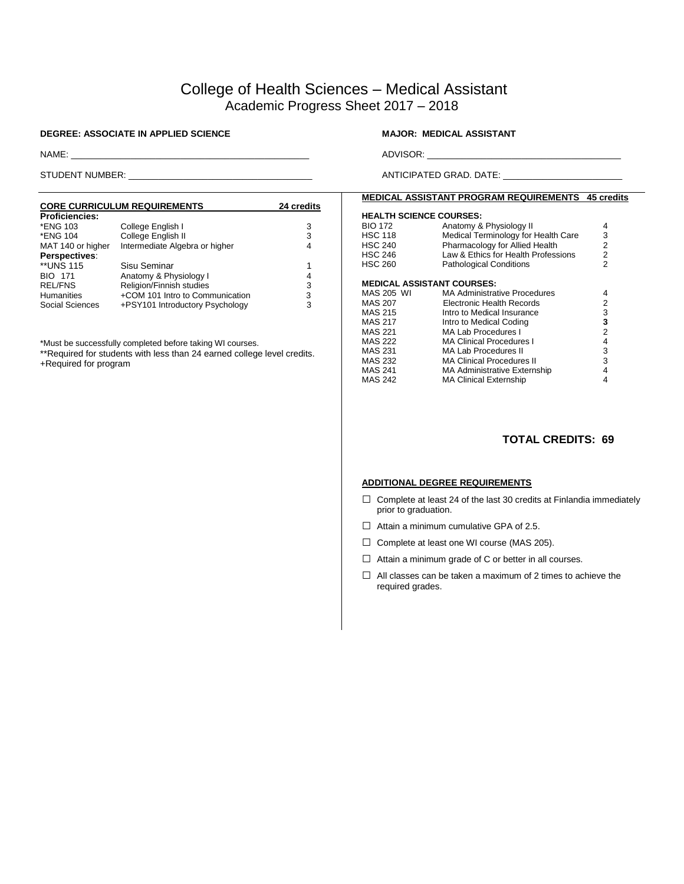# College of Health Sciences – Medical Assistant Academic Progress Sheet 2017 – 2018

#### **DEGREE: ASSOCIATE IN APPLIED SCIENCE MAJOR: MEDICAL ASSISTANT**

# NAME: \_\_\_\_\_\_\_\_\_\_\_\_\_\_\_\_\_\_\_\_\_\_\_\_\_\_\_\_\_\_\_\_\_\_\_\_\_\_\_\_\_\_\_\_\_\_\_\_ ADVISOR: \_\_\_\_\_\_\_\_\_\_\_\_\_\_\_\_\_\_\_\_\_\_\_\_\_\_\_\_\_\_\_\_\_\_\_\_\_\_\_

STUDENT NUMBER: \_\_\_\_\_\_\_\_\_\_\_\_\_\_\_\_\_\_\_\_\_\_\_\_\_\_\_\_\_\_\_\_\_\_\_\_\_ ANTICIPATED GRAD. DATE: \_\_\_\_\_\_\_\_\_\_\_\_\_\_\_\_\_\_\_\_\_\_\_\_

#### **CORE CURRICULUM REQUIREMENTS 24 credits** Proficiencies:<br>\*ENG 103 \*ENG 103 College English I 3 \*College English II<br>Intermediate Algebra or higher  $\begin{array}{c} 3 \\ 4 \end{array}$ MAT 140 or higher Intermediate Algebra or higher **Perspectives**: \*\*UNS 115 Sisu Seminar<br>
BIO 171 Anatomy & Physiology I Channel Automy & Physiology I BIO 171 Anatomy & Physiology I 4<br>REL/FNS Religion/Finnish studies 3<br>Humanities +COM 101 Intro to Communication 3 REL/FNS Religion/Finnish studies<br>Humanities +COM 101 Intro to Comi Humanities +COM 101 Intro to Communication 3<br>Social Sciences +PSY101 Introductory Psychology 3 +PSY101 Introductory Psychology

\*Must be successfully completed before taking WI courses.

\*\*Required for students with less than 24 earned college level credits.

+Required for program

### **MEDICAL ASSISTANT PROGRAM REQUIREMENTS 45 credits**

#### **HEALTH SCIENCE COURSES:**

| <b>BIO 172</b><br><b>HSC 118</b><br><b>HSC 240</b><br><b>HSC 246</b><br><b>HSC 260</b> | Anatomy & Physiology II<br>Medical Terminology for Health Care<br>Pharmacology for Allied Health<br>Law & Ethics for Health Professions<br><b>Pathological Conditions</b> | 4<br>3<br>2<br>2<br>2 |
|----------------------------------------------------------------------------------------|---------------------------------------------------------------------------------------------------------------------------------------------------------------------------|-----------------------|
| <b>MEDICAL ASSISTANT COURSES:</b>                                                      |                                                                                                                                                                           |                       |
| MAS 205 WI                                                                             | <b>MA Administrative Procedures</b>                                                                                                                                       | 4                     |
| <b>MAS 207</b>                                                                         | <b>Electronic Health Records</b>                                                                                                                                          | 2                     |
| <b>MAS 215</b>                                                                         | Intro to Medical Insurance                                                                                                                                                | 3                     |
| <b>MAS 217</b>                                                                         | Intro to Medical Coding                                                                                                                                                   | 3                     |
| MAS 221                                                                                | MA Lab Procedures I                                                                                                                                                       | 2                     |
| <b>MAS 222</b>                                                                         | <b>MA Clinical Procedures I</b>                                                                                                                                           | 4                     |
| <b>MAS 231</b>                                                                         | MA Lab Procedures II                                                                                                                                                      | 3                     |
| <b>MAS 232</b>                                                                         | <b>MA Clinical Procedures II</b>                                                                                                                                          | 3                     |
| <b>MAS 241</b>                                                                         | <b>MA Administrative Externship</b>                                                                                                                                       | 4                     |
| <b>MAS 242</b>                                                                         | <b>MA Clinical Externship</b>                                                                                                                                             | 4                     |

## **TOTAL CREDITS: 69**

#### **ADDITIONAL DEGREE REQUIREMENTS**

- $\Box$  Complete at least 24 of the last 30 credits at Finlandia immediately prior to graduation.
- $\Box$  Attain a minimum cumulative GPA of 2.5.
- □ Complete at least one WI course (MAS 205).
- $\Box$  Attain a minimum grade of C or better in all courses.
- $\Box$  All classes can be taken a maximum of 2 times to achieve the required grades.